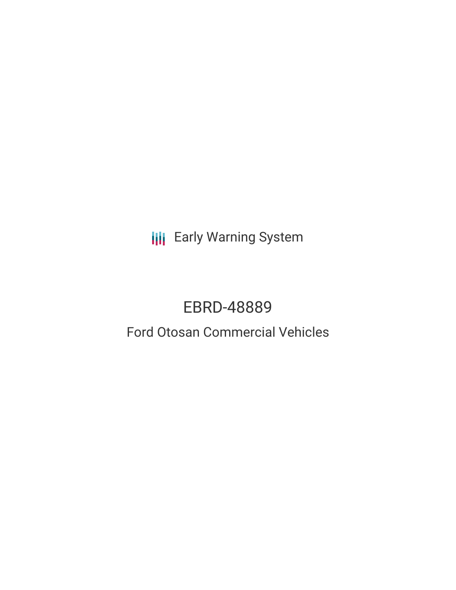**III** Early Warning System

# EBRD-48889

# Ford Otosan Commercial Vehicles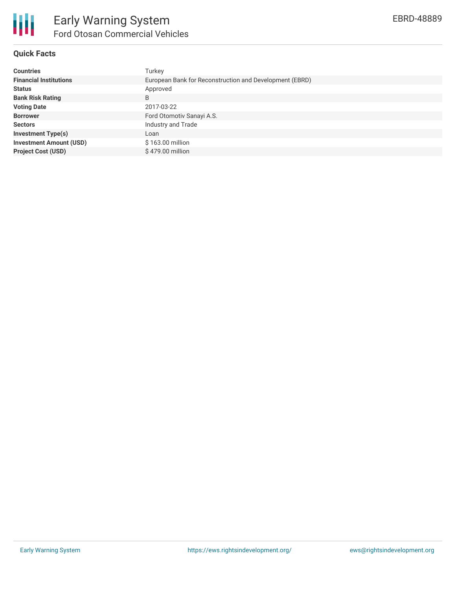

## **Quick Facts**

| <b>Countries</b>               | Turkey                                                  |
|--------------------------------|---------------------------------------------------------|
| <b>Financial Institutions</b>  | European Bank for Reconstruction and Development (EBRD) |
| <b>Status</b>                  | Approved                                                |
| <b>Bank Risk Rating</b>        | B                                                       |
| <b>Voting Date</b>             | 2017-03-22                                              |
| <b>Borrower</b>                | Ford Otomotiv Sanayi A.S.                               |
| <b>Sectors</b>                 | Industry and Trade                                      |
| <b>Investment Type(s)</b>      | Loan                                                    |
| <b>Investment Amount (USD)</b> | \$163.00 million                                        |
| <b>Project Cost (USD)</b>      | \$479.00 million                                        |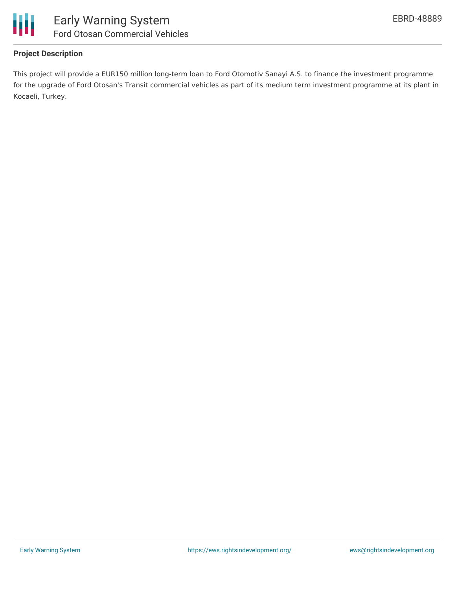

## **Project Description**

This project will provide a EUR150 million long-term loan to Ford Otomotiv Sanayi A.S. to finance the investment programme for the upgrade of Ford Otosan's Transit commercial vehicles as part of its medium term investment programme at its plant in Kocaeli, Turkey.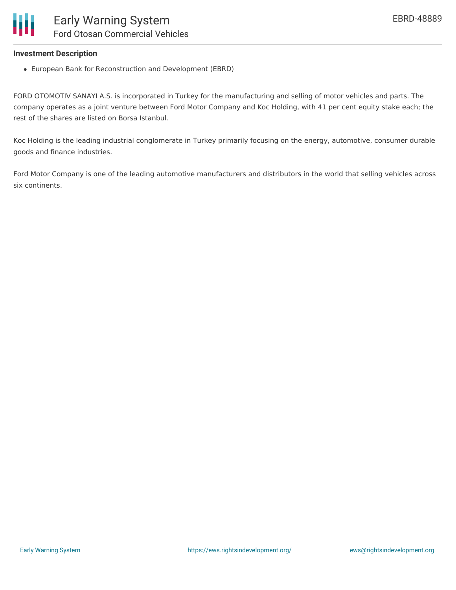#### **Investment Description**

European Bank for Reconstruction and Development (EBRD)

FORD OTOMOTIV SANAYI A.S. is incorporated in Turkey for the manufacturing and selling of motor vehicles and parts. The company operates as a joint venture between Ford Motor Company and Koc Holding, with 41 per cent equity stake each; the rest of the shares are listed on Borsa Istanbul.

Koc Holding is the leading industrial conglomerate in Turkey primarily focusing on the energy, automotive, consumer durable goods and finance industries.

Ford Motor Company is one of the leading automotive manufacturers and distributors in the world that selling vehicles across six continents.